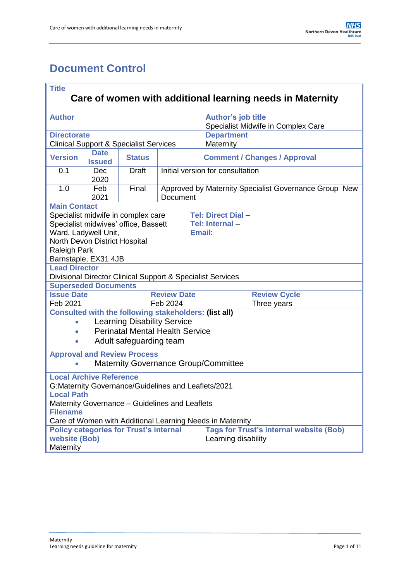# <span id="page-0-0"></span>**Document Control**

| <b>Title</b>                                                                                    |                               |                                                            |                                     |  |                                                                 |                                                       |  |  |
|-------------------------------------------------------------------------------------------------|-------------------------------|------------------------------------------------------------|-------------------------------------|--|-----------------------------------------------------------------|-------------------------------------------------------|--|--|
| Care of women with additional learning needs in Maternity                                       |                               |                                                            |                                     |  |                                                                 |                                                       |  |  |
| <b>Author</b>                                                                                   |                               |                                                            |                                     |  | <b>Author's job title</b><br>Specialist Midwife in Complex Care |                                                       |  |  |
| <b>Directorate</b>                                                                              |                               |                                                            |                                     |  | <b>Department</b>                                               |                                                       |  |  |
| <b>Clinical Support &amp; Specialist Services</b>                                               |                               |                                                            |                                     |  | Maternity                                                       |                                                       |  |  |
| <b>Version</b>                                                                                  | <b>Date</b><br><b>Issued</b>  | <b>Status</b>                                              | <b>Comment / Changes / Approval</b> |  |                                                                 |                                                       |  |  |
| 0.1                                                                                             | Dec<br>2020                   | <b>Draft</b>                                               | Initial version for consultation    |  |                                                                 |                                                       |  |  |
| 1.0                                                                                             | Feb<br>2021                   | Final                                                      | <b>Document</b>                     |  |                                                                 | Approved by Maternity Specialist Governance Group New |  |  |
| <b>Main Contact</b>                                                                             |                               |                                                            |                                     |  |                                                                 |                                                       |  |  |
|                                                                                                 |                               | Specialist midwife in complex care                         |                                     |  | Tel: Direct Dial-                                               |                                                       |  |  |
|                                                                                                 |                               | Specialist midwives' office, Bassett                       |                                     |  | Tel: Internal-                                                  |                                                       |  |  |
|                                                                                                 | Ward, Ladywell Unit,          |                                                            |                                     |  | <b>Email:</b>                                                   |                                                       |  |  |
|                                                                                                 | North Devon District Hospital |                                                            |                                     |  |                                                                 |                                                       |  |  |
| <b>Raleigh Park</b>                                                                             |                               |                                                            |                                     |  |                                                                 |                                                       |  |  |
| Barnstaple, EX31 4JB<br><b>Lead Director</b>                                                    |                               |                                                            |                                     |  |                                                                 |                                                       |  |  |
|                                                                                                 |                               | Divisional Director Clinical Support & Specialist Services |                                     |  |                                                                 |                                                       |  |  |
|                                                                                                 | <b>Superseded Documents</b>   |                                                            |                                     |  |                                                                 |                                                       |  |  |
| <b>Issue Date</b><br><b>Review Date</b>                                                         |                               |                                                            |                                     |  | <b>Review Cycle</b>                                             |                                                       |  |  |
| Feb 2021<br>Feb 2024                                                                            |                               |                                                            |                                     |  | Three years                                                     |                                                       |  |  |
| <b>Consulted with the following stakeholders: (list all)</b>                                    |                               |                                                            |                                     |  |                                                                 |                                                       |  |  |
| $\bullet$                                                                                       |                               | <b>Learning Disability Service</b>                         |                                     |  |                                                                 |                                                       |  |  |
| $\bullet$                                                                                       |                               | <b>Perinatal Mental Health Service</b>                     |                                     |  |                                                                 |                                                       |  |  |
| $\bullet$                                                                                       |                               | Adult safeguarding team                                    |                                     |  |                                                                 |                                                       |  |  |
| <b>Approval and Review Process</b>                                                              |                               |                                                            |                                     |  |                                                                 |                                                       |  |  |
| <b>Maternity Governance Group/Committee</b>                                                     |                               |                                                            |                                     |  |                                                                 |                                                       |  |  |
| <b>Local Archive Reference</b>                                                                  |                               |                                                            |                                     |  |                                                                 |                                                       |  |  |
| G: Maternity Governance/Guidelines and Leaflets/2021                                            |                               |                                                            |                                     |  |                                                                 |                                                       |  |  |
| Local Path                                                                                      |                               |                                                            |                                     |  |                                                                 |                                                       |  |  |
| Maternity Governance - Guidelines and Leaflets                                                  |                               |                                                            |                                     |  |                                                                 |                                                       |  |  |
| <b>Filename</b><br>Care of Women with Additional Learning Needs in Maternity                    |                               |                                                            |                                     |  |                                                                 |                                                       |  |  |
| <b>Tags for Trust's internal website (Bob)</b><br><b>Policy categories for Trust's internal</b> |                               |                                                            |                                     |  |                                                                 |                                                       |  |  |
|                                                                                                 | website (Bob)                 |                                                            |                                     |  | Learning disability                                             |                                                       |  |  |
| Maternity                                                                                       |                               |                                                            |                                     |  |                                                                 |                                                       |  |  |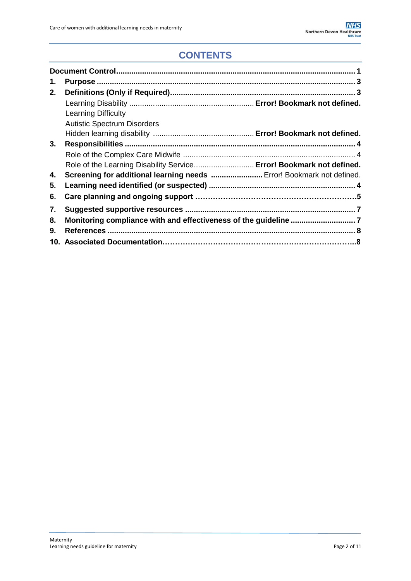## **CONTENTS**

| 1. |                                                                       |
|----|-----------------------------------------------------------------------|
| 2. |                                                                       |
|    |                                                                       |
|    | <b>Learning Difficulty</b>                                            |
|    | <b>Autistic Spectrum Disorders</b>                                    |
|    |                                                                       |
| 3. |                                                                       |
|    |                                                                       |
|    | Role of the Learning Disability Service Error! Bookmark not defined.  |
| 4. | Screening for additional learning needs  Error! Bookmark not defined. |
| 5. |                                                                       |
| 6. |                                                                       |
| 7. |                                                                       |
| 8. |                                                                       |
| 9. |                                                                       |
|    |                                                                       |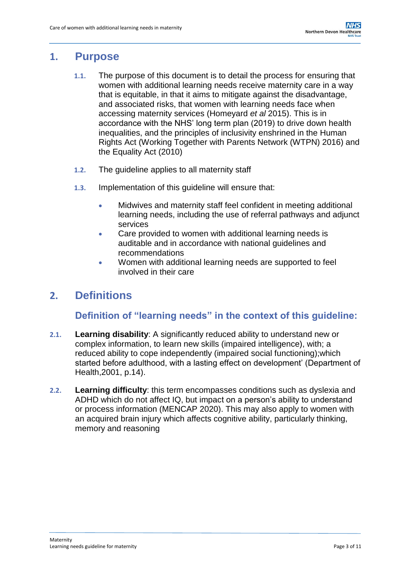### <span id="page-2-0"></span>**1. Purpose**

- **1.1.** The purpose of this document is to detail the process for ensuring that women with additional learning needs receive maternity care in a way that is equitable, in that it aims to mitigate against the disadvantage, and associated risks, that women with learning needs face when accessing maternity services (Homeyard *et al* 2015). This is in accordance with the NHS' long term plan (2019) to drive down health inequalities, and the principles of inclusivity enshrined in the Human Rights Act (Working Together with Parents Network (WTPN) 2016) and the Equality Act (2010)
- **1.2.** The guideline applies to all maternity staff
- **1.3.** Implementation of this guideline will ensure that:
	- Midwives and maternity staff feel confident in meeting additional learning needs, including the use of referral pathways and adjunct services
	- Care provided to women with additional learning needs is auditable and in accordance with national guidelines and recommendations
	- Women with additional learning needs are supported to feel involved in their care

### <span id="page-2-1"></span>**2. Definitions**

#### **Definition of "learning needs" in the context of this guideline:**

- **2.1. Learning disability**: A significantly reduced ability to understand new or complex information, to learn new skills (impaired intelligence), with; a reduced ability to cope independently (impaired social functioning);which started before adulthood, with a lasting effect on development' (Department of Health,2001, p.14).
- **2.2. Learning difficulty**: this term encompasses conditions such as dyslexia and ADHD which do not affect IQ, but impact on a person's ability to understand or process information (MENCAP 2020). This may also apply to women with an acquired brain injury which affects cognitive ability, particularly thinking, memory and reasoning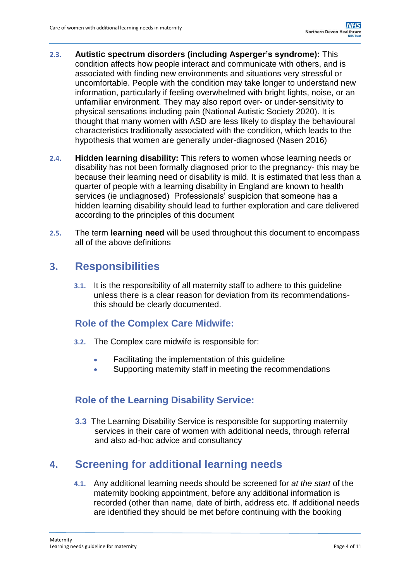- **2.3. Autistic spectrum disorders (including Asperger's syndrome):** This condition affects how people interact and communicate with others, and is associated with finding new environments and situations very stressful or uncomfortable. People with the condition may take longer to understand new information, particularly if feeling overwhelmed with bright lights, noise, or an unfamiliar environment. They may also report over- or under-sensitivity to physical sensations including pain (National Autistic Society 2020). It is thought that many women with ASD are less likely to display the behavioural characteristics traditionally associated with the condition, which leads to the hypothesis that women are generally under-diagnosed (Nasen 2016)
- **2.4. Hidden learning disability:** This refers to women whose learning needs or disability has not been formally diagnosed prior to the pregnancy- this may be because their learning need or disability is mild. It is estimated that less than a quarter of people with a learning disability in England are known to health services (ie undiagnosed) Professionals' suspicion that someone has a hidden learning disability should lead to further exploration and care delivered according to the principles of this document
- **2.5.** The term **learning need** will be used throughout this document to encompass all of the above definitions

### <span id="page-3-0"></span>**3. Responsibilities**

**3.1.** It is the responsibility of all maternity staff to adhere to this guideline unless there is a clear reason for deviation from its recommendationsthis should be clearly documented.

#### <span id="page-3-1"></span>**Role of the Complex Care Midwife:**

- **3.2.** The Complex care midwife is responsible for:
	- Facilitating the implementation of this quideline
	- Supporting maternity staff in meeting the recommendations

#### **Role of the Learning Disability Service:**

**3.3** The Learning Disability Service is responsible for supporting maternity services in their care of women with additional needs, through referral and also ad-hoc advice and consultancy

### **4. Screening for additional learning needs**

**4.1.** Any additional learning needs should be screened for *at the start* of the maternity booking appointment, before any additional information is recorded (other than name, date of birth, address etc. If additional needs are identified they should be met before continuing with the booking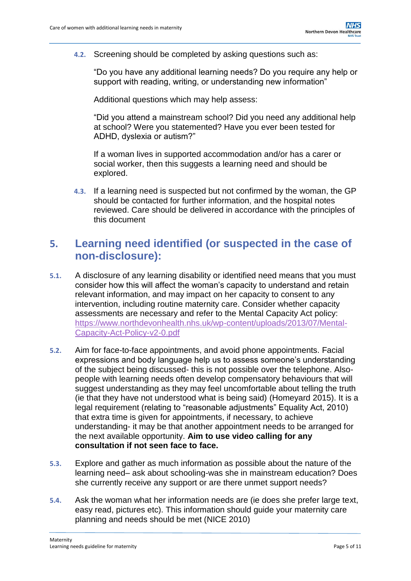**4.2.** Screening should be completed by asking questions such as:

"Do you have any additional learning needs? Do you require any help or support with reading, writing, or understanding new information"

Additional questions which may help assess:

"Did you attend a mainstream school? Did you need any additional help at school? Were you statemented? Have you ever been tested for ADHD, dyslexia or autism?"

If a woman lives in supported accommodation and/or has a carer or social worker, then this suggests a learning need and should be explored.

**4.3.** If a learning need is suspected but not confirmed by the woman, the GP should be contacted for further information, and the hospital notes reviewed. Care should be delivered in accordance with the principles of this document

### **5. Learning need identified (or suspected in the case of non-disclosure):**

- **5.1.** A disclosure of any learning disability or identified need means that you must consider how this will affect the woman's capacity to understand and retain relevant information, and may impact on her capacity to consent to any intervention, including routine maternity care. Consider whether capacity assessments are necessary and refer to the Mental Capacity Act policy: [https://www.northdevonhealth.nhs.uk/wp-content/uploads/2013/07/Mental-](https://www.northdevonhealth.nhs.uk/wp-content/uploads/2013/07/Mental-Capacity-Act-Policy-v2-0.pdf)[Capacity-Act-Policy-v2-0.pdf](https://www.northdevonhealth.nhs.uk/wp-content/uploads/2013/07/Mental-Capacity-Act-Policy-v2-0.pdf)
- **5.2.** Aim for face-to-face appointments, and avoid phone appointments. Facial expressions and body language help us to assess someone's understanding of the subject being discussed- this is not possible over the telephone. Alsopeople with learning needs often develop compensatory behaviours that will suggest understanding as they may feel uncomfortable about telling the truth (ie that they have not understood what is being said) (Homeyard 2015). It is a legal requirement (relating to "reasonable adjustments" Equality Act, 2010) that extra time is given for appointments, if necessary, to achieve understanding- it may be that another appointment needs to be arranged for the next available opportunity. **Aim to use video calling for any consultation if not seen face to face.**
- **5.3.** Explore and gather as much information as possible about the nature of the learning need– ask about schooling-was she in mainstream education? Does she currently receive any support or are there unmet support needs?
- **5.4.** Ask the woman what her information needs are (ie does she prefer large text, easy read, pictures etc). This information should guide your maternity care planning and needs should be met (NICE 2010)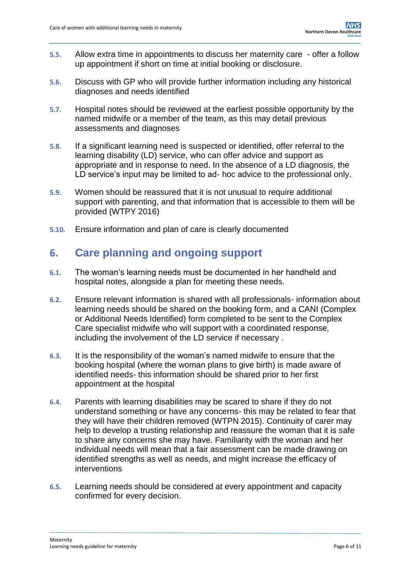- **5.5.** Allow extra time in appointments to discuss her maternity care offer a follow up appointment if short on time at initial booking or disclosure.
- **5.6.** Discuss with GP who will provide further information including any historical diagnoses and needs identified
- **5.7.** Hospital notes should be reviewed at the earliest possible opportunity by the named midwife or a member of the team, as this may detail previous assessments and diagnoses
- **5.8.** If a significant learning need is suspected or identified, offer referral to the learning disability (LD) service, who can offer advice and support as appropriate and in response to need. In the absence of a LD diagnosis, the LD service's input may be limited to ad- hoc advice to the professional only.
- **5.9.** Women should be reassured that it is not unusual to require additional support with parenting, and that information that is accessible to them will be provided (WTPY 2016)
- **5.10.** Ensure information and plan of care is clearly documented

### **6. Care planning and ongoing support**

- **6.1.** The woman's learning needs must be documented in her handheld and hospital notes, alongside a plan for meeting these needs.
- **6.2.** Ensure relevant information is shared with all professionals- information about learning needs should be shared on the booking form, and a CANI (Complex or Additional Needs Identified) form completed to be sent to the Complex Care specialist midwife who will support with a coordinated response, including the involvement of the LD service if necessary .
- **6.3.** It is the responsibility of the woman's named midwife to ensure that the booking hospital (where the woman plans to give birth) is made aware of identified needs- this information should be shared prior to her first appointment at the hospital
- **6.4.** Parents with learning disabilities may be scared to share if they do not understand something or have any concerns- this may be related to fear that they will have their children removed (WTPN 2015). Continuity of carer may help to develop a trusting relationship and reassure the woman that it is safe to share any concerns she may have. Familiarity with the woman and her individual needs will mean that a fair assessment can be made drawing on identified strengths as well as needs, and might increase the efficacy of interventions
- **6.5.** Learning needs should be considered at every appointment and capacity confirmed for every decision.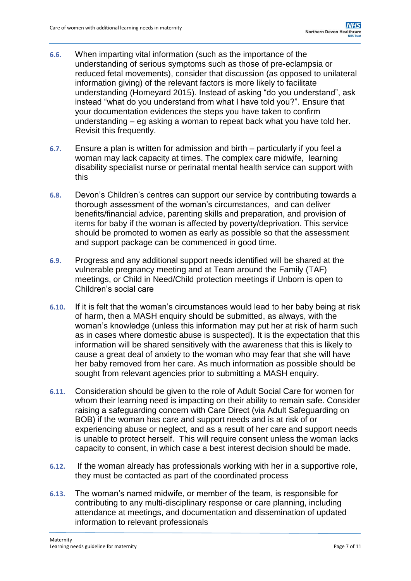- **6.6.** When imparting vital information (such as the importance of the understanding of serious symptoms such as those of pre-eclampsia or reduced fetal movements), consider that discussion (as opposed to unilateral information giving) of the relevant factors is more likely to facilitate understanding (Homeyard 2015). Instead of asking "do you understand", ask instead "what do you understand from what I have told you?". Ensure that your documentation evidences the steps you have taken to confirm understanding – eg asking a woman to repeat back what you have told her. Revisit this frequently.
- **6.7.** Ensure a plan is written for admission and birth particularly if you feel a woman may lack capacity at times. The complex care midwife, learning disability specialist nurse or perinatal mental health service can support with this
- **6.8.** Devon's Children's centres can support our service by contributing towards a thorough assessment of the woman's circumstances, and can deliver benefits/financial advice, parenting skills and preparation, and provision of items for baby if the woman is affected by poverty/deprivation. This service should be promoted to women as early as possible so that the assessment and support package can be commenced in good time.
- **6.9.** Progress and any additional support needs identified will be shared at the vulnerable pregnancy meeting and at Team around the Family (TAF) meetings, or Child in Need/Child protection meetings if Unborn is open to Children's social care
- **6.10.** If it is felt that the woman's circumstances would lead to her baby being at risk of harm, then a MASH enquiry should be submitted, as always, with the woman's knowledge (unless this information may put her at risk of harm such as in cases where domestic abuse is suspected). It is the expectation that this information will be shared sensitively with the awareness that this is likely to cause a great deal of anxiety to the woman who may fear that she will have her baby removed from her care. As much information as possible should be sought from relevant agencies prior to submitting a MASH enquiry.
- **6.11.** Consideration should be given to the role of Adult Social Care for women for whom their learning need is impacting on their ability to remain safe. Consider raising a safeguarding concern with Care Direct (via Adult Safeguarding on BOB) if the woman has care and support needs and is at risk of or experiencing abuse or neglect, and as a result of her care and support needs is unable to protect herself. This will require consent unless the woman lacks capacity to consent, in which case a best interest decision should be made.
- **6.12.** If the woman already has professionals working with her in a supportive role, they must be contacted as part of the coordinated process
- **6.13.** The woman's named midwife, or member of the team, is responsible for contributing to any multi-disciplinary response or care planning, including attendance at meetings, and documentation and dissemination of updated information to relevant professionals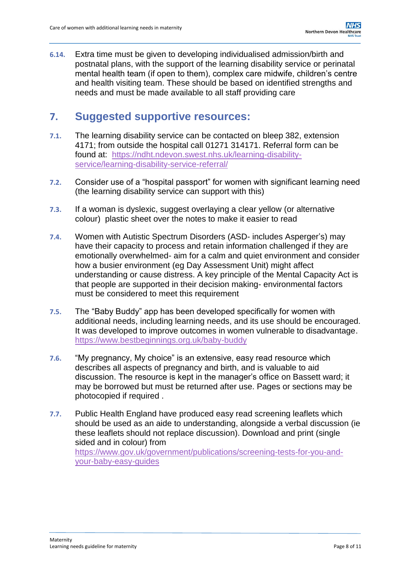**6.14.** Extra time must be given to developing individualised admission/birth and postnatal plans, with the support of the learning disability service or perinatal mental health team (if open to them), complex care midwife, children's centre and health visiting team. These should be based on identified strengths and needs and must be made available to all staff providing care

## **7. Suggested supportive resources:**

- **7.1.** The learning disability service can be contacted on bleep 382, extension 4171; from outside the hospital call 01271 314171. Referral form can be found at: [https://ndht.ndevon.swest.nhs.uk/learning-disability](https://ndht.ndevon.swest.nhs.uk/learning-disability-service/learning-disability-service-referral/)[service/learning-disability-service-referral/](https://ndht.ndevon.swest.nhs.uk/learning-disability-service/learning-disability-service-referral/)
- **7.2.** Consider use of a "hospital passport" for women with significant learning need (the learning disability service can support with this)
- **7.3.** If a woman is dyslexic, suggest overlaying a clear yellow (or alternative colour) plastic sheet over the notes to make it easier to read
- **7.4.** Women with Autistic Spectrum Disorders (ASD- includes Asperger's) may have their capacity to process and retain information challenged if they are emotionally overwhelmed- aim for a calm and quiet environment and consider how a busier environment (eg Day Assessment Unit) might affect understanding or cause distress. A key principle of the Mental Capacity Act is that people are supported in their decision making- environmental factors must be considered to meet this requirement
- **7.5.** The "Baby Buddy" app has been developed specifically for women with additional needs, including learning needs, and its use should be encouraged. It was developed to improve outcomes in women vulnerable to disadvantage. <https://www.bestbeginnings.org.uk/baby-buddy>
- **7.6.** "My pregnancy, My choice" is an extensive, easy read resource which describes all aspects of pregnancy and birth, and is valuable to aid discussion. The resource is kept in the manager's office on Bassett ward; it may be borrowed but must be returned after use. Pages or sections may be photocopied if required .
- **7.7.** Public Health England have produced easy read screening leaflets which should be used as an aide to understanding, alongside a verbal discussion (ie these leaflets should not replace discussion). Download and print (single sided and in colour) from [https://www.gov.uk/government/publications/screening-tests-for-you-and](https://www.gov.uk/government/publications/screening-tests-for-you-and-your-baby-easy-guides)[your-baby-easy-guides](https://www.gov.uk/government/publications/screening-tests-for-you-and-your-baby-easy-guides)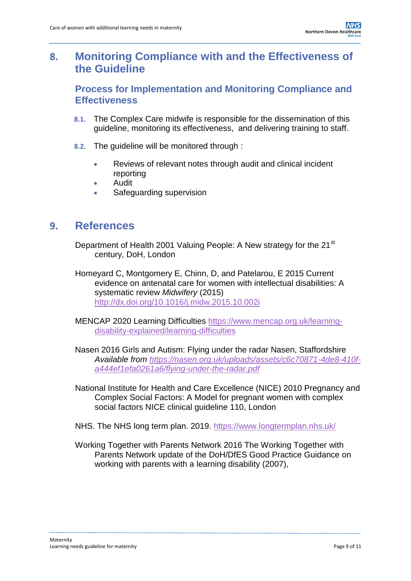## <span id="page-8-0"></span>**8. Monitoring Compliance with and the Effectiveness of the Guideline**

#### **Process for Implementation and Monitoring Compliance and Effectiveness**

- **8.1.** The Complex Care midwife is responsible for the dissemination of this guideline, monitoring its effectiveness, and delivering training to staff.
- **8.2.** The guideline will be monitored through :
	- Reviews of relevant notes through audit and clinical incident reporting
	- Audit
	- Safeguarding supervision

### <span id="page-8-1"></span>**9. References**

- Department of Health 2001 Valuing People: A New strategy for the 21<sup>st</sup> century, DoH, London
- Homeyard C, Montgomery E, Chinn, D, and Patelarou, E 2015 Current evidence on antenatal care for women with intellectual disabilities: A systematic review *Midwifery* (2015) <http://dx.doi.org/10.1016/j.midw.2015.10.002i>
- MENCAP 2020 Learning Difficulties [https://www.mencap.org.uk/learning](https://www.mencap.org.uk/learning-disability-explained/learning-difficulties)[disability-explained/learning-difficulties](https://www.mencap.org.uk/learning-disability-explained/learning-difficulties)
- Nasen 2016 Girls and Autism: Flying under the radar Nasen, Staffordshire *Available from [https://nasen.org.uk/uploads/assets/c6c70871-4de8-410f](https://nasen.org.uk/uploads/assets/c6c70871-4de8-410f-a444ef1efa0261a6/flying-under-the-radar.pdf)[a444ef1efa0261a6/flying-under-the-radar.pdf](https://nasen.org.uk/uploads/assets/c6c70871-4de8-410f-a444ef1efa0261a6/flying-under-the-radar.pdf)*
- National Institute for Health and Care Excellence (NICE) 2010 Pregnancy and Complex Social Factors: A Model for pregnant women with complex social factors NICE clinical guideline 110, London
- NHS. The NHS long term plan. 2019.<https://www.longtermplan.nhs.uk/>
- Working Together with Parents Network 2016 The Working Together with Parents Network update of the DoH/DfES Good Practice Guidance on working with parents with a learning disability (2007),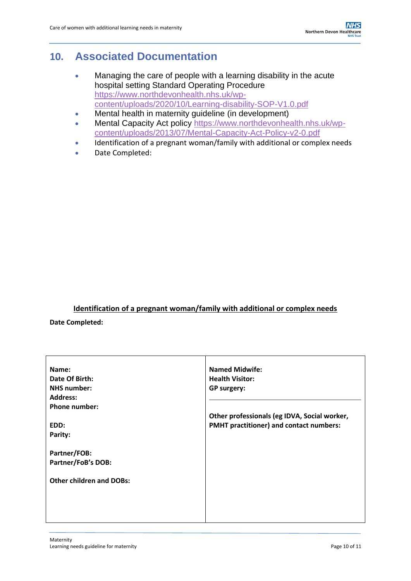## <span id="page-9-0"></span>**10. Associated Documentation**

- Managing the care of people with a learning disability in the acute hospital setting Standard Operating Procedure [https://www.northdevonhealth.nhs.uk/wp](https://www.northdevonhealth.nhs.uk/wp-content/uploads/2020/10/Learning-disability-SOP-V1.0.pdf)[content/uploads/2020/10/Learning-disability-SOP-V1.0.pdf](https://www.northdevonhealth.nhs.uk/wp-content/uploads/2020/10/Learning-disability-SOP-V1.0.pdf)
- Mental health in maternity guideline (in development)
- Mental Capacity Act policy [https://www.northdevonhealth.nhs.uk/wp](https://www.northdevonhealth.nhs.uk/wp-content/uploads/2013/07/Mental-Capacity-Act-Policy-v2-0.pdf)[content/uploads/2013/07/Mental-Capacity-Act-Policy-v2-0.pdf](https://www.northdevonhealth.nhs.uk/wp-content/uploads/2013/07/Mental-Capacity-Act-Policy-v2-0.pdf)
- Identification of a pregnant woman/family with additional or complex needs
- Date Completed:

#### **Identification of a pregnant woman/family with additional or complex needs**

**Date Completed:**

| <b>Named Midwife:</b>                        |
|----------------------------------------------|
|                                              |
| <b>Health Visitor:</b>                       |
| <b>GP surgery:</b>                           |
|                                              |
|                                              |
| Other professionals (eg IDVA, Social worker, |
| PMHT practitioner) and contact numbers:      |
|                                              |
|                                              |
|                                              |
|                                              |
|                                              |
|                                              |
|                                              |
|                                              |
|                                              |
|                                              |
|                                              |